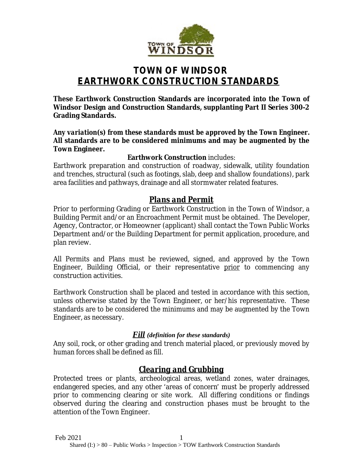

# **TOWN OF WINDSOR EARTHWORK CONSTRUCTION STANDARDS**

**These Earthwork Construction Standards are incorporated into the Town of Windsor Design and Construction Standards, supplanting Part II Series 300-2 Grading Standards.**

*Any variation(s) from these standards must be approved by the Town Engineer.* **All standards are to be considered minimums and may be augmented by the Town Engineer.**

#### **Earthwork Construction** includes:

Earthwork preparation and construction of roadway, sidewalk, utility foundation and trenches, structural (such as footings, slab, deep and shallow foundations), park area facilities and pathways, drainage and all stormwater related features.

## *Plans and Permit*

Prior to performing Grading or Earthwork Construction in the Town of Windsor, a Building Permit and/or an Encroachment Permit must be obtained. The Developer, Agency, Contractor, or Homeowner (applicant) shall contact the Town Public Works Department and/or the Building Department for permit application, procedure, and plan review.

All Permits and Plans must be reviewed, signed, and approved by the Town Engineer, Building Official, or their representative prior to commencing any construction activities.

Earthwork Construction shall be placed and tested in accordance with this section, unless otherwise stated by the Town Engineer, or her/his representative. These standards are to be considered the minimums and may be augmented by the Town Engineer, as necessary.

#### *Fill (definition for these standards)*

Any soil, rock, or other grading and trench material placed, or previously moved by human forces shall be defined as *fill.*

## *Clearing and Grubbing*

Protected trees or plants, archeological areas, wetland zones, water drainages, endangered species, and any other 'areas of concern' must be properly addressed prior to commencing clearing or site work. All differing conditions or findings observed during the clearing and construction phases must be brought to the attention of the Town Engineer.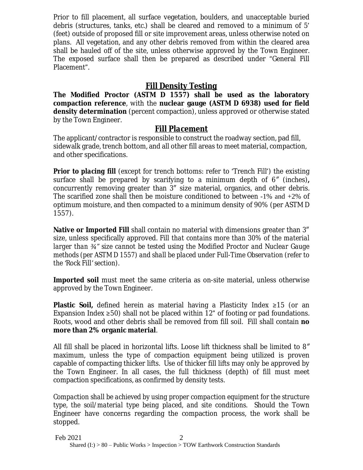Prior to fill placement, all surface vegetation, boulders, and unacceptable buried debris (structures, tanks, etc.) shall be cleared and removed to a minimum of 5' (feet) outside of proposed fill or site improvement areas, unless otherwise noted on plans. All vegetation, and any other debris removed from within the cleared area shall be hauled off of the site, unless otherwise approved by the Town Engineer. The exposed surface shall then be prepared as described under "General Fill Placement".

## *Fill Density Testing*

**The Modified Proctor (ASTM D 1557) shall be used as the laboratory compaction reference**, with the **nuclear gauge (ASTM D 6938) used for field density determination** (percent compaction), unless approved or otherwise stated by the Town Engineer.

#### *Fill Placement*

The applicant/contractor is responsible to construct the roadway section, pad fill, sidewalk grade, trench bottom, and all other fill areas to meet material, compaction, and other specifications.

*Prior to placing fill* (except for trench bottoms: refer to 'Trench Fill') the existing surface shall be prepared by scarifying to a minimum depth of 6*″* (inches)**,** concurrently removing greater than 3″ size material, organics, and other debris. The scarified zone shall then be moisture conditioned to between -1% and +2% of optimum moisture, and then compacted to a minimum density of 90% (per ASTM D 1557).

**Native or Imported Fill** shall contain no material with dimensions greater than 3″ size, unless specifically approved. *Fill that contains more than 30% of the material larger than ¾" size cannot be tested using the Modified Proctor and Nuclear Gauge methods (per ASTM D 1557) and shall be placed under Full-Time Observation (refer to the 'Rock Fill' section).*

**Imported soil** must meet the same criteria as on-site material, unless otherwise approved by the Town Engineer.

**Plastic Soil,** defined herein as material having a Plasticity Index ≥15 (or an Expansion Index  $\geq 50$ ) shall not be placed within 12" of footing or pad foundations. Roots, wood and other debris shall be removed from fill soil. Fill shall contain **no more than 2% organic material**.

All fill shall be placed in horizontal lifts. Loose lift thickness shall be limited to 8*″* maximum, unless the type of compaction equipment being utilized is proven capable of compacting thicker lifts. Use of thicker fill lifts may only be approved by the Town Engineer. In all cases, the full thickness (depth) of fill must meet compaction specifications, as confirmed by density tests.

*Compaction shall be achieved by using proper compaction equipment for the structure type, the soil/material type being placed, and site conditions*. Should the Town Engineer have concerns regarding the compaction process, the work shall be stopped.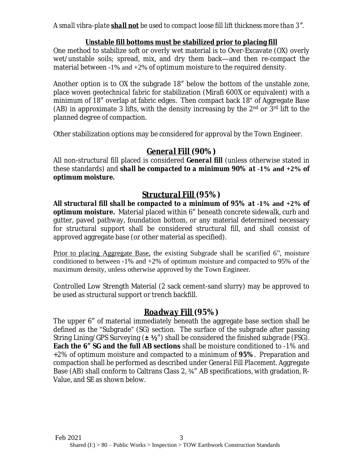*A small vibra-plate shall not be used to compact loose fill lift thickness more than 3″.*

#### **Unstable fill bottoms must be stabilized prior to placing fill**

One method to stabilize soft or overly wet material is to Over-Excavate (OX) overly wet/unstable soils; spread, mix, and dry them back—and then re-compact the material between  $-1\%$  and  $+2\%$  of optimum moisture to the required density.

Another option is to OX the subgrade 18″ below the bottom of the unstable zone, place *woven geotechnical fabric* for stabilization (Mirafi 600X or equivalent) with a minimum of 18″ overlap at fabric edges. Then compact back 18" of Aggregate Base (AB) in approximate 3 lifts, with the density increasing by the  $2<sup>nd</sup>$  or  $3<sup>rd</sup>$  lift to the planned degree of compaction.

Other stabilization options may be considered for approval by the Town Engineer.

## *General Fill (***90%)**

All non-structural fill placed is considered *General fill* (unless otherwise stated in these standards) and *shall be compacted to a minimum 90% at* **-1% and +2%** *of optimum moisture.*

## *Structural Fill (***95%)**

*All structural fill shall be compacted to a minimum of 95% at* **-1% and +2%** *of optimum moisture.* Material placed within 6″ beneath concrete sidewalk, curb and gutter, paved pathway, foundation bottom, or any material determined necessary for structural support shall be considered structural fill, and shall consist of approved aggregate base (or other material as specified).

Prior to placing Aggregate Base, the existing Subgrade shall be scarified 6", moisture conditioned to between  $-1\%$  and  $+2\%$  of optimum moisture and compacted to 95% of the maximum density, unless otherwise approved by the Town Engineer.

Controlled Low Strength Material (2 sack cement-sand slurry) may be approved to be used as structural support or trench backfill.

### *Roadway Fill (***95%)**

The upper 6″ of material immediately beneath the aggregate base section shall be defined as the "Subgrade" (SG) section. The surface of the subgrade after passing String Lining/GPS Surveying (**± ½**″) shall be considered the *finished subgrade (FSG)*. **Each the 6″ SG and the full AB sections** shall be moisture conditioned to -1% and +2% of optimum moisture and compacted to a minimum of **95%**. Preparation and compaction shall be performed as described under *General Fill Placement*. Aggregate Base (AB) shall conform to Caltrans Class 2, ¾″ AB specifications, with gradation, R-Value, and SE as shown below.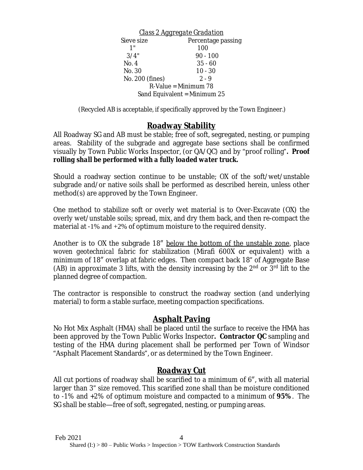*Class 2 Aggregate Gradation* Sieve size Percentage passing 1" 100  $3/4"$  90 - 100 No. 4 35 - 60 No. 30 10 - 30 No. 200 (fines) 2 - 9 R-Value = Minimum 78 Sand Equivalent = Minimum 25

(Recycled AB is acceptable, if specifically approved by the Town Engineer.)

## **Roadway Stability**

All Roadway SG and AB must be stable; free of soft, segregated, nesting, or pumping areas. Stability of the subgrade and aggregate base sections shall be confirmed visually by Town Public Works Inspector, (or QA/QC) and by "proof rolling"*. Proof rolling shall be performed with a fully loaded water truck.*

Should a roadway section continue to be unstable; OX of the soft/wet/unstable subgrade and/or native soils shall be performed as described herein, unless other method(s) are approved by the Town Engineer.

One method to stabilize soft or overly wet material is to Over-Excavate (OX) the overly wet/unstable soils; spread, mix, and dry them back, and then re-compact the material at -1% and +2% of optimum moisture to the required density.

Another is to OX the subgrade 18" below the bottom of the unstable zone, place *woven geotechnical fabric* for stabilization (Mirafi 600X or equivalent) with a minimum of 18″ overlap at fabric edges. Then compact back 18" of Aggregate Base (AB) in approximate 3 lifts, with the density increasing by the  $2<sup>nd</sup>$  or  $3<sup>rd</sup>$  lift to the planned degree of compaction.

The contractor is responsible to construct the roadway section (and underlying material) to form a stable surface, meeting compaction specifications.

### **Asphalt Paving**

No Hot Mix Asphalt (HMA) shall be placed until the surface to receive the HMA has been approved by the Town Public Works Inspector**. Contractor QC** sampling and testing of the HMA during placement shall be performed per Town of Windsor "Asphalt Placement Standards", or as determined by the Town Engineer.

### *Roadway Cut*

All cut portions of roadway shall be scarified to a minimum of 6″, with all material larger than 3" size removed. This scarified zone shall than be moisture conditioned to -1% and +2% of optimum moisture and compacted to a minimum of **95%**. The SG shall be stable—free of soft, segregated, nesting, or pumping areas.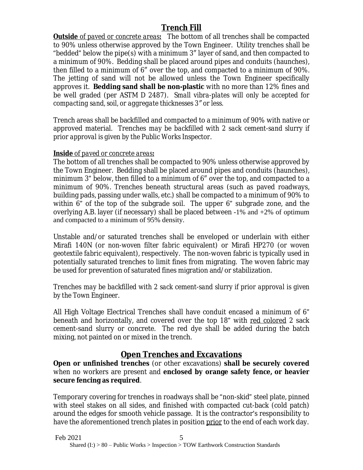## *Trench Fill*

*Outside of paved or concrete areas*. The bottom of all trenches shall be compacted to 90% unless otherwise approved by the Town Engineer. Utility trenches shall be "bedded" below the pipe(s) with a minimum 3″ layer of sand, and then compacted to a minimum of 90%. Bedding shall be placed around pipes and conduits (haunches), then filled to a minimum of 6″ over the top, and compacted to a minimum of 90%. The jetting of sand will not be allowed unless the Town Engineer specifically approves it. **Bedding sand shall be non-plastic** with no more than 12% fines and be well graded (per ASTM D 2487). *Small vibra-plates will only be accepted for compacting sand, soil, or aggregate thicknesses 3″ or less.*

Trench areas shall be backfilled and compacted to a minimum of 90% with native or approved material. Trenches *may be backfilled with 2 sack cement-sand slurry if prior approval is given by the Public Works Inspector*.

#### *Inside of paved or concrete areas***:**

The bottom of all trenches shall be compacted to 90% unless otherwise approved by the Town Engineer. Bedding shall be placed around pipes and conduits (haunches), minimum 3" below, then filled to a minimum of 6″ over the top, and compacted to a minimum of 90%. Trenches beneath structural areas (such as paved roadways, building pads, passing under walls, etc.) shall be compacted to a minimum of 90% to within 6" of the top of the subgrade soil. The upper 6" subgrade zone, and the overlying A.B. layer (if necessary) shall be placed between -1% and +2% of optimum and compacted to a minimum of 95% density.

Unstable and/or saturated trenches shall be enveloped or underlain with either Mirafi 140N (or *non-woven filter fabric* equivalent) or Mirafi HP270 (or *woven geotextile fabric* equivalent), respectively. The non-woven fabric is typically used in potentially saturated trenches to limit fines from migrating. The woven fabric may be used for prevention of saturated fines migration and/or stabilization.

Trenches *may be backfilled with 2 sack cement-sand slurry if prior approval is given by the Town Engineer*.

All High Voltage Electrical Trenches shall have conduit encased a minimum of 6" beneath and horizontally, and covered over the top 18" with red colored 2 sack cement-sand slurry or concrete. The red dye shall be added during the batch mixing, not painted on or mixed in the trench.

## **Open Trenches and Excavations**

**Open or unfinished trenches** (or other excavations) **shall be securely covered** when no workers are present and **enclosed by orange safety fence, or heavier secure fencing as required**.

Temporary covering for trenches in roadways shall be "non-skid" steel plate, pinned with steel stakes on all sides, and finished with compacted cut-back (cold patch) around the edges for smooth vehicle passage. It is the contractor's responsibility to have the aforementioned trench plates in position prior to the end of each work day.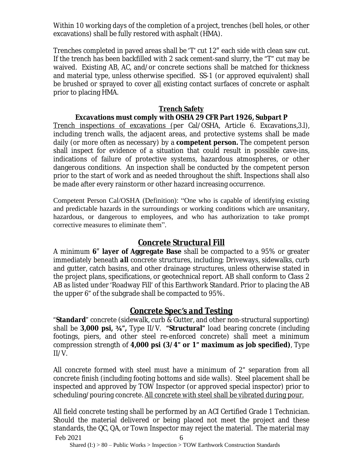Within 10 working days of the completion of a project, trenches (bell holes, or other excavations) shall be fully restored with asphalt (HMA).

Trenches completed in paved areas shall be 'T' cut 12″ each side with clean saw cut. If the trench has been backfilled with 2 sack cement-sand slurry, the "T" cut may be waived. Existing AB, AC, and/or concrete sections shall be matched for thickness and material type, unless otherwise specified. SS-1 (or approved equivalent) shall be brushed or sprayed to cover all existing contact surfaces of concrete or asphalt prior to placing HMA.

#### **Trench Safety Excavations must comply with OSHA 29 CFR Part 1926, Subpart P**

Trench inspections of excavations (per Cal/OSHA, Article 6. Excavations,3.l), including trench walls, the adjacent areas, and protective systems shall be made daily (or more often as necessary) by a **competent person.** The competent person shall inspect for evidence of a situation that could result in possible cave-ins, indications of failure of protective systems, hazardous atmospheres, or other dangerous conditions. An inspection shall be conducted by the competent person prior to the start of work and as needed throughout the shift. Inspections shall also be made after every rainstorm or other hazard increasing occurrence.

Competent Person Cal/OSHA (Definition): "One who is capable of identifying existing and predictable hazards in the surroundings or working conditions which are unsanitary, hazardous, or dangerous to employees, and who has authorization to take prompt corrective measures to eliminate them".

## *Concrete Structural Fill*

A minimum **6**″ **layer of Aggregate Base** shall be compacted to a 95% or greater immediately beneath *all* concrete structures, including; Driveways, sidewalks, curb and gutter, catch basins, and other drainage structures, unless otherwise stated in the project plans, specifications, or geotechnical report. AB shall conform to Class 2 AB as listed under 'Roadway Fill' of this Earthwork Standard. Prior to placing the AB the upper 6" of the subgrade shall be compacted to 95%.

## *Concrete Spec's and Testing*

"**Standard**" concrete (sidewalk, curb & Gutter, and other non-structural supporting) shall be **3,000 psi, ¾",** Type II/V. **"Structural"** load bearing concrete (including footings, piers, and other steel re-enforced concrete) shall meet a minimum compression strength of **4,000 psi (3/4" or 1" maximum as job specified)**, Type II/V.

All concrete formed with steel must have a minimum of 2" separation from all concrete finish (including footing bottoms and side walls). Steel placement shall be inspected and approved by TOW Inspector (or approved special inspector) prior to scheduling/pouring concrete. All concrete with steel shall be vibrated during pour.

Feb 2021 6 All field concrete testing shall be performed by an ACI Certified Grade 1 Technician. Should the material delivered or being placed not meet the project and these standards, the QC, QA, or Town Inspector may reject the material. The material may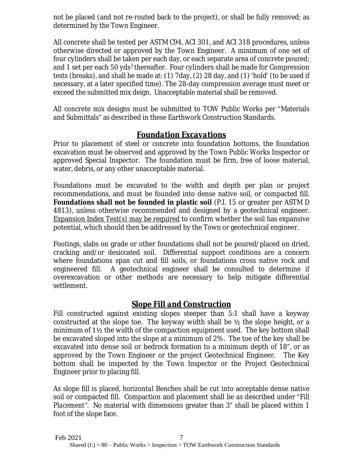not be placed (and not re-routed back to the project), or shall be fully removed; as determined by the Town Engineer.

All concrete shall be tested per ASTM C94, ACI 301, and ACI 318 procedures, unless otherwise directed or approved by the Town Engineer. A minimum of one set of four cylinders shall be taken per each day, or each separate area of concrete poured; and 1 set per each 50 yds<sup>3</sup> thereafter. Four cylinders shall be made for Compression tests (breaks), and shall be made at: (1) 7day, (2) 28 day, and (1) 'hold' (to be used if necessary, at a later specified time). The 28-day compression average must meet or exceed the submitted mix deign. Unacceptable material shall be removed.

All concrete mix designs must be submitted to TOW Public Works per "Materials and Submittals" as described in these Earthwork Construction Standards.

## *Foundation Excavations*

Prior to placement of steel or concrete into foundation bottoms, the foundation excavation must be observed and approved by the Town Public Works Inspector or approved Special Inspector. The foundation must be firm, free of loose material, water, debris, or any other unacceptable material.

Foundations must be excavated to the width and depth per plan or project recommendations, and must be founded into dense native soil, or compacted fill. **Foundations shall not be founded in plastic soil** (P.I. 15 or greater per ASTM D 4813), unless otherwise recommended and designed by a geotechnical engineer. Expansion Index Test(s) may be required to confirm whether the soil has expansive potential, which should then be addressed by the Town or geotechnical engineer.

Footings, slabs on grade or other foundations shall not be poured/placed on dried, cracking and/or desiccated soil. Differential support conditions are a concern where foundations span cut and fill soils, or foundations cross native rock and engineered fill. A geotechnical engineer shall be consulted to determine if overexcavation or other methods are necessary to help mitigate differential settlement.

## *Slope Fill and Construction*

Fill constructed against existing slopes steeper than 5:1 shall have a keyway constructed at the slope toe. The keyway width shall be  $\frac{1}{2}$  the slope height, or a minimum of 1½ the width of the compaction equipment used. The key bottom shall be excavated sloped into the slope at a minimum of 2%. The toe of the key shall be excavated into dense soil or bedrock formation to a minimum depth of 18", or as approved by the Town Engineer or the project Geotechnical Engineer. The Key bottom shall be inspected by the Town Inspector or the Project Geotechnical Engineer prior to placing fill.

As slope fill is placed, *horizontal* Benches shall be cut into acceptable dense native soil or compacted fill. Compaction and placement shall be as described under "*Fill Placement"*. No material with dimensions greater than 3" shall be placed within 1 foot of the slope face.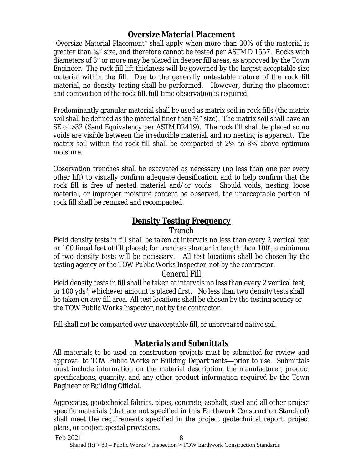### *Oversize Material Placement*

"Oversize Material Placement" shall apply when more than 30% of the material is greater than ¾" size, and therefore cannot be tested per ASTM D 1557. Rocks with diameters of 3" or more may be placed in deeper fill areas, as approved by the Town Engineer. The rock fill lift thickness will be governed by the largest acceptable size material within the fill. Due to the generally untestable nature of the rock fill material, no density testing shall be performed. However, during the placement and compaction of the rock fill, full-time observation is required.

Predominantly granular material shall be used as matrix soil in rock fills (the matrix soil shall be defined as the material finer than  $\frac{3}{4}$ " size). The matrix soil shall have an SE of >32 (Sand Equivalency per ASTM D2419). The rock fill shall be placed so no voids are visible between the irreducible material, and no nesting is apparent. The matrix soil within the rock fill shall be compacted at 2% to 8% above optimum moisture.

Observation trenches shall be excavated as necessary (no less than one per every other lift) to visually confirm adequate densification, and to help confirm that the rock fill is free of nested material and/or voids. Should voids, nesting, loose material, or improper moisture content be observed, the unacceptable portion of rock fill shall be remixed and recompacted.

## *Density Testing Frequency*

#### *Trench*

Field density tests in fill shall be taken at intervals no less than every 2 vertical feet or 100 lineal feet of fill placed; for trenches shorter in length than 100', a minimum of two density tests will be necessary. All test locations shall be chosen by the testing agency or the TOW Public Works Inspector, not by the contractor.

#### *General Fill*

Field density tests in fill shall be taken at intervals no less than every 2 vertical feet, or 100 yds<sup>3</sup>, whichever amount is placed first. No less than two density tests shall be taken on any fill area. All test locations shall be chosen by the testing agency or the TOW Public Works Inspector, not by the contractor.

*Fill shall not be compacted over unacceptable fill, or unprepared native soil.*

## *Materials and Submittals*

*All materials to be used on construction projects must be submitted for review and approval to TOW Public Works or Building Departments—prior to use.* Submittals must include information on the material description, the manufacturer, product specifications, quantity, and any other product information required by the Town Engineer or Building Official.

Aggregates, geotechnical fabrics, pipes, concrete, asphalt, steel and all other project specific materials (that are not specified in this Earthwork Construction Standard) shall meet the requirements specified in the project geotechnical report, project plans, or project special provisions.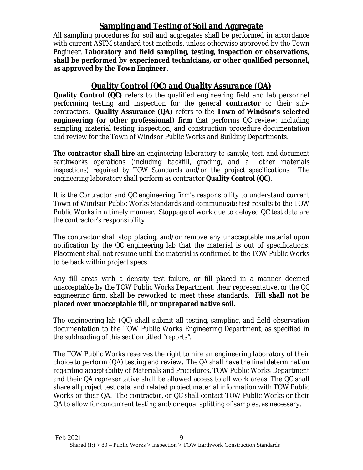## **Sampling and Testing of Soil and Aggregate**

All sampling procedures for soil and aggregates shall be performed in accordance with current ASTM standard test methods, unless otherwise approved by the Town Engineer. **Laboratory and field sampling, testing, inspection or observations, shall be performed by experienced technicians, or other qualified personnel, as approved by the Town Engineer.**

# *Quality Control (QC) and Quality Assurance (QA)*

**Quality Control (QC)** refers to the qualified engineering field and lab personnel performing testing and inspection for the general **contractor** or their subcontractors. **Quality Assurance (QA)** refers to the **Town of Windsor's selected engineering (or other professional) firm** that performs QC review; including sampling, material testing, inspection, and construction procedure documentation and review for the Town of Windsor Public Works and Building Departments.

*The contractor shall hire an engineering laboratory to sample, test, and document earthworks operations (including backfill, grading, and all other materials inspections) required by TOW Standards and/or the project specifications. The engineering laboratory shall perform as contractor Quality Control (QC).*

It is the Contractor and QC engineering firm's responsibility to understand current Town of Windsor Public Works Standards and communicate test results to the TOW Public Works in a timely manner. Stoppage of work due to delayed QC test data are the contractor's responsibility.

The contractor shall stop placing, and/or remove any unacceptable material upon notification by the QC engineering lab that the material is out of specifications. Placement shall not resume until the material is confirmed to the TOW Public Works to be back within project specs.

Any fill areas with a density test failure, or fill placed in a manner deemed unacceptable by the TOW Public Works Department, their representative, or the QC engineering firm, shall be reworked to meet these standards. **Fill shall not be placed over unacceptable fill, or unprepared native soil.**

The engineering lab (QC) shall submit all testing, sampling, and field observation documentation to the TOW Public Works Engineering Department, as specified in the subheading of this section titled *"reports".*

The TOW Public Works reserves the right to hire an engineering laboratory of their choice to perform (QA) testing and review*. The QA shall have the final determination regarding acceptability of Materials and Procedures.* TOW Public Works Department and their QA representative shall be allowed access to all work areas. The QC shall share all project test data, and related project material information with TOW Public Works or their QA. The contractor, or QC shall contact TOW Public Works or their QA to allow for concurrent testing and/or equal splitting of samples, as necessary.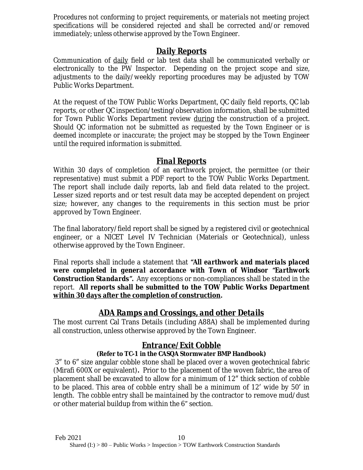*Procedures not conforming to project requirements, or materials not meeting project specifications will be considered rejected and shall be corrected and/or removed immediately; unless otherwise approved by the Town Engineer.*

### *Daily Reports*

Communication of daily field or lab test data shall be communicated verbally or electronically to the PW Inspector. Depending on the project scope and size, adjustments to the daily/weekly reporting procedures may be adjusted by TOW Public Works Department.

At the request of the TOW Public Works Department, QC daily field reports, QC lab reports, or other QC inspection/testing/observation information, shall be submitted for Town Public Works Department review during the construction of a project. *Should QC information not be submitted as requested by the Town Engineer or is deemed incomplete or inaccurate; the project may be stopped by the Town Engineer until the required information is submitted.*

## *Final Reports*

Within 30 days of completion of an earthwork project, the permittee (or their representative) must submit a PDF *report* to the TOW Public Works Department. The report shall include daily reports, lab and field data related to the project. Lesser sized reports and or test result data may be accepted dependent on project size; however, any changes to the requirements in this section must be prior approved by Town Engineer.

The final laboratory/field report shall be signed by a registered civil or geotechnical engineer, or a NICET Level IV Technician (Materials or Geotechnical), unless otherwise approved by the Town Engineer.

Final reports shall include a statement that *"All earthwork and materials placed were completed in general accordance with Town of Windsor "Earthwork Construction Standards".* Any exceptions or non-compliances shall be stated in the report. **All reports shall be submitted to the TOW Public Works Department within 30 days after the completion of construction.**

## *ADA Ramps and Crossings, and other Details*

The most current Cal Trans Details (including A88A) shall be implemented during all construction, unless otherwise approved by the Town Engineer.

### *Entrance/Exit Cobble* **(Refer to TC-1 in the CASQA Stormwater BMP Handbook)**

3″ to 6″ size angular cobble stone shall be placed over a woven geotechnical fabric (Mirafi 600X or equivalent)**.** Prior to the placement of the woven fabric, the area of placement shall be excavated to allow for a minimum of 12″ thick section of cobble to be placed. This area of cobble entry shall be a minimum of 12′ wide by 50′ in length. *The cobble entry shall be maintained* by the contractor to remove mud/dust or other material buildup from within the 6" section.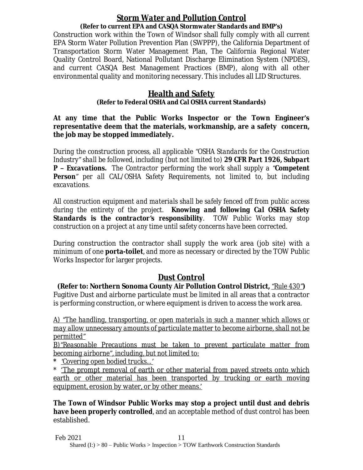#### *Storm Water and Pollution Control* **(Refer to current EPA and CASQA Stormwater Standards and BMP's)**

Construction work within the Town of Windsor shall fully comply with all current EPA Storm Water Pollution Prevention Plan (SWPPP), the California Department of Transportation Storm Water Management Plan, The California Regional Water Quality Control Board, National Pollutant Discharge Elimination System (NPDES), and current CASQA Best Management Practices (BMP), along with all other environmental quality and monitoring necessary. This includes all LID Structures.

### **Health and Safety**

#### **(Refer to Federal OSHA and Cal OSHA current Standards)**

**At any time that the Public Works Inspector or the Town Engineer's representative deem that the materials, workmanship, are a safety concern, the job may be stopped immediately.**

*During the construction process, all applicable "OSHA Standards for the Construction Industry" shall be followed, including (but not limited to) 29 CFR Part 1926, Subpart P – Excavations. The Contractor performing the work shall supply a "Competent Person" per all CAL/OSHA Safety Requirements, not limited to, but including excavations.*

*All construction equipment and materials shall be safely fenced off from public access during the entirety of the project. Knowing and following Cal OSHA Safety Standards is the contractor's responsibility. TOW Public Works may stop construction on a project at any time until safety concerns have been corrected.*

During construction the contractor shall supply the work area (job site) with a minimum of one **porta-toilet**, and more as necessary or directed by the TOW Public Works Inspector for larger projects.

## *Dust Control*

**(Refer to: Northern Sonoma County Air Pollution Control District,** *"Rule 430"***)** Fugitive Dust and airborne particulate must be limited in all areas that a contractor is performing construction, or where equipment is driven to access the work area.

*A) "The handling, transporting, or open materials in such a manner which allows or may allow unnecessary amounts of particulate matter to become airborne, shall not be permitted"*

*B)"Reasonable Precautions must be taken to prevent particulate matter from becoming airborne", including, but not limited to:*

*\* 'Covering open bodied trucks…'*

\* 'The prompt removal of earth or other material from paved streets onto which earth or other material has been transported by trucking or earth moving equipment, erosion by water, or by other means.'

**The Town of Windsor Public Works may stop a project until dust and debris have been properly controlled**, and an acceptable method of dust control has been established.